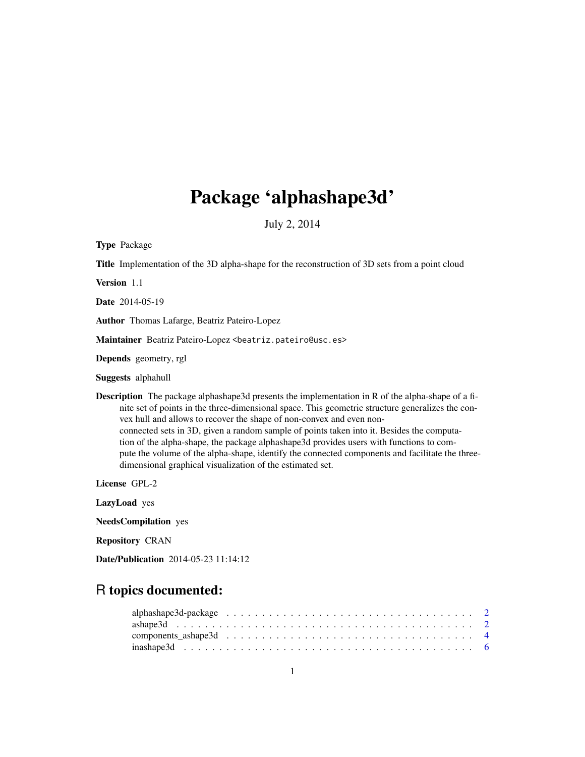# Package 'alphashape3d'

July 2, 2014

<span id="page-0-0"></span>Type Package

Title Implementation of the 3D alpha-shape for the reconstruction of 3D sets from a point cloud

Version 1.1

Date 2014-05-19

Author Thomas Lafarge, Beatriz Pateiro-Lopez

Maintainer Beatriz Pateiro-Lopez <beatriz.pateiro@usc.es>

Depends geometry, rgl

Suggests alphahull

Description The package alphashape3d presents the implementation in R of the alpha-shape of a finite set of points in the three-dimensional space. This geometric structure generalizes the convex hull and allows to recover the shape of non-convex and even nonconnected sets in 3D, given a random sample of points taken into it. Besides the computation of the alpha-shape, the package alphashape3d provides users with functions to compute the volume of the alpha-shape, identify the connected components and facilitate the threedimensional graphical visualization of the estimated set.

License GPL-2

LazyLoad yes

NeedsCompilation yes

Repository CRAN

Date/Publication 2014-05-23 11:14:12

# R topics documented: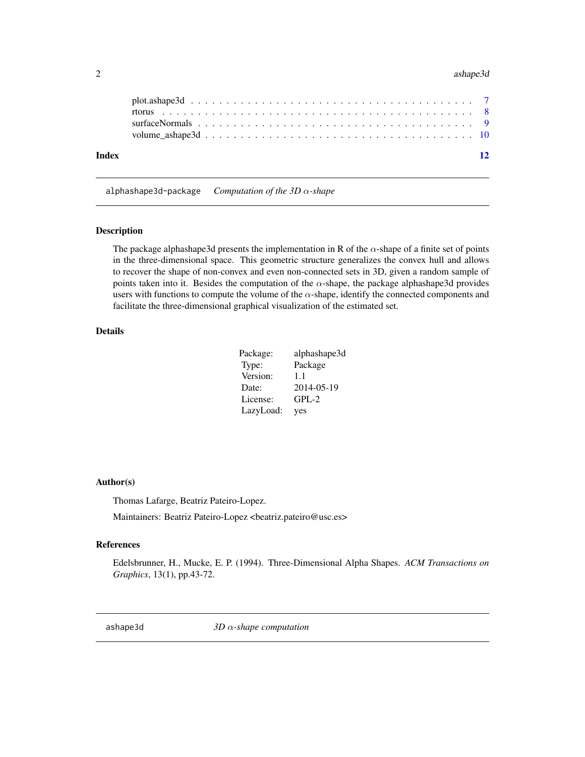#### <span id="page-1-0"></span>2 ashape3d as a shape 3d as follows: the contract of the contract of the contract of the contract of the contract of the contract of the contract of the contract of the contract of the contract of the contract of the contr

| Index |  |  |  |  |  |  |  |  |  |  |  |  |  |  |  | 12 |
|-------|--|--|--|--|--|--|--|--|--|--|--|--|--|--|--|----|

alphashape3d-package *Computation of the 3D* α*-shape*

#### Description

The package alphashape3d presents the implementation in R of the  $\alpha$ -shape of a finite set of points in the three-dimensional space. This geometric structure generalizes the convex hull and allows to recover the shape of non-convex and even non-connected sets in 3D, given a random sample of points taken into it. Besides the computation of the  $\alpha$ -shape, the package alphashape3d provides users with functions to compute the volume of the  $\alpha$ -shape, identify the connected components and facilitate the three-dimensional graphical visualization of the estimated set.

# Details

| Package:  | alphashape3d |
|-----------|--------------|
| Type:     | Package      |
| Version:  | 1.1          |
| Date:     | 2014-05-19   |
| License:  | $GPL-2$      |
| LazyLoad: | yes          |

#### Author(s)

Thomas Lafarge, Beatriz Pateiro-Lopez.

Maintainers: Beatriz Pateiro-Lopez <br/>beatriz.pateiro@usc.es>

#### References

Edelsbrunner, H., Mucke, E. P. (1994). Three-Dimensional Alpha Shapes. *ACM Transactions on Graphics*, 13(1), pp.43-72.

<span id="page-1-1"></span>ashape3d *3D* α*-shape computation*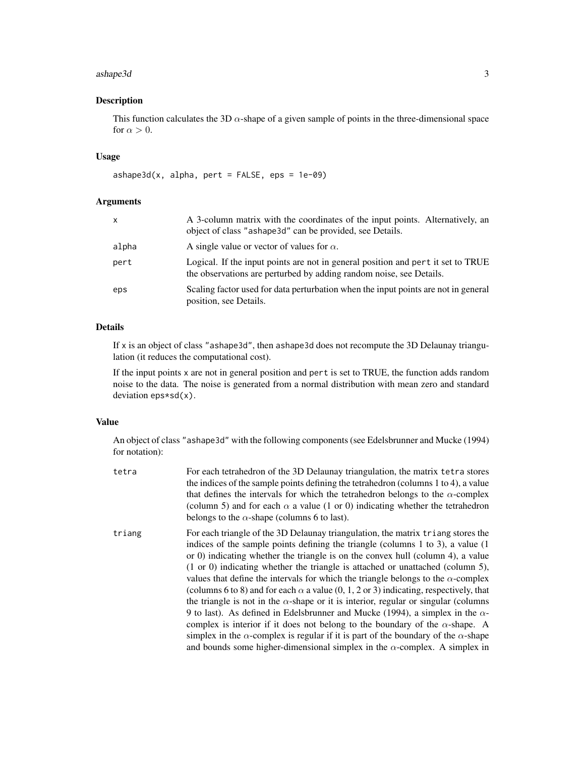#### ashape3d 3

# Description

This function calculates the 3D  $\alpha$ -shape of a given sample of points in the three-dimensional space for  $\alpha > 0$ .

# Usage

```
ashape3d(x, alpha, pert = FALSE,eps = 1e-09)
```
# Arguments

| x     | A 3-column matrix with the coordinates of the input points. Alternatively, an<br>object of class "ashape 3d" can be provided, see Details.              |
|-------|---------------------------------------------------------------------------------------------------------------------------------------------------------|
| alpha | A single value or vector of values for $\alpha$ .                                                                                                       |
| pert  | Logical. If the input points are not in general position and pert it set to TRUE<br>the observations are perturbed by adding random noise, see Details. |
| eps   | Scaling factor used for data perturbation when the input points are not in general<br>position, see Details.                                            |

# Details

If x is an object of class "ashape3d", then ashape3d does not recompute the 3D Delaunay triangulation (it reduces the computational cost).

If the input points x are not in general position and pert is set to TRUE, the function adds random noise to the data. The noise is generated from a normal distribution with mean zero and standard deviation eps\*sd(x).

#### Value

An object of class "ashape3d" with the following components (see Edelsbrunner and Mucke (1994) for notation):

| tetra  | For each tetrahedron of the 3D Delaunay triangulation, the matrix tetra stores<br>the indices of the sample points defining the tetrahedron (columns 1 to 4), a value<br>that defines the intervals for which the tetrahedron belongs to the $\alpha$ -complex<br>(column 5) and for each $\alpha$ a value (1 or 0) indicating whether the tetrahedron<br>belongs to the $\alpha$ -shape (columns 6 to last).                                                                                                                                                                                                                                                                                                                                                                                                                                                                                                                                                                                                            |
|--------|--------------------------------------------------------------------------------------------------------------------------------------------------------------------------------------------------------------------------------------------------------------------------------------------------------------------------------------------------------------------------------------------------------------------------------------------------------------------------------------------------------------------------------------------------------------------------------------------------------------------------------------------------------------------------------------------------------------------------------------------------------------------------------------------------------------------------------------------------------------------------------------------------------------------------------------------------------------------------------------------------------------------------|
| triang | For each triangle of the 3D Delaunay triangulation, the matrix triang stores the<br>indices of the sample points defining the triangle (columns 1 to 3), a value $(1)$<br>or 0) indicating whether the triangle is on the convex hull (column 4), a value<br>$(1 \text{ or } 0)$ indicating whether the triangle is attached or unattached (column 5),<br>values that define the intervals for which the triangle belongs to the $\alpha$ -complex<br>(columns 6 to 8) and for each $\alpha$ a value (0, 1, 2 or 3) indicating, respectively, that<br>the triangle is not in the $\alpha$ -shape or it is interior, regular or singular (columns<br>9 to last). As defined in Edelsbrunner and Mucke (1994), a simplex in the $\alpha$ -<br>complex is interior if it does not belong to the boundary of the $\alpha$ -shape. A<br>simplex in the $\alpha$ -complex is regular if it is part of the boundary of the $\alpha$ -shape<br>and bounds some higher-dimensional simplex in the $\alpha$ -complex. A simplex in |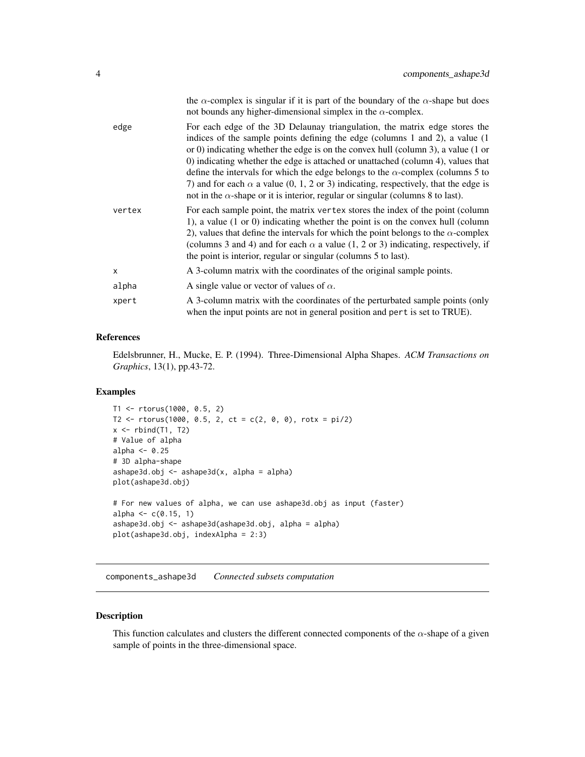<span id="page-3-0"></span>

|        | the $\alpha$ -complex is singular if it is part of the boundary of the $\alpha$ -shape but does<br>not bounds any higher-dimensional simplex in the $\alpha$ -complex.                                                                                                                                                                                                                                                                                                                                                                                                                                                              |
|--------|-------------------------------------------------------------------------------------------------------------------------------------------------------------------------------------------------------------------------------------------------------------------------------------------------------------------------------------------------------------------------------------------------------------------------------------------------------------------------------------------------------------------------------------------------------------------------------------------------------------------------------------|
| edge   | For each edge of the 3D Delaunay triangulation, the matrix edge stores the<br>indices of the sample points defining the edge (columns 1 and 2), a value (1<br>or 0) indicating whether the edge is on the convex hull (column 3), a value $(1 \text{ or } 0)$<br>0) indicating whether the edge is attached or unattached (column 4), values that<br>define the intervals for which the edge belongs to the $\alpha$ -complex (columns 5 to<br>7) and for each $\alpha$ a value (0, 1, 2 or 3) indicating, respectively, that the edge is<br>not in the $\alpha$ -shape or it is interior, regular or singular (columns 8 to last). |
| vertex | For each sample point, the matrix vertex stores the index of the point (column<br>1), a value $(1 \text{ or } 0)$ indicating whether the point is on the convex hull (column<br>2), values that define the intervals for which the point belongs to the $\alpha$ -complex<br>(columns 3 and 4) and for each $\alpha$ a value (1, 2 or 3) indicating, respectively, if<br>the point is interior, regular or singular (columns 5 to last).                                                                                                                                                                                            |
| X      | A 3-column matrix with the coordinates of the original sample points.                                                                                                                                                                                                                                                                                                                                                                                                                                                                                                                                                               |
| alpha  | A single value or vector of values of $\alpha$ .                                                                                                                                                                                                                                                                                                                                                                                                                                                                                                                                                                                    |
| xpert  | A 3-column matrix with the coordinates of the perturbated sample points (only<br>when the input points are not in general position and pert is set to TRUE).                                                                                                                                                                                                                                                                                                                                                                                                                                                                        |

#### References

Edelsbrunner, H., Mucke, E. P. (1994). Three-Dimensional Alpha Shapes. *ACM Transactions on Graphics*, 13(1), pp.43-72.

# Examples

```
T1 <- rtorus(1000, 0.5, 2)
T2 \le rtorus(1000, 0.5, 2, ct = c(2, 0, 0), rotx = pi/2)
x \leftarrow \text{rbind(T1, T2)}# Value of alpha
alpha <- 0.25
# 3D alpha-shape
ashape3d.obj \leq ashape3d(x, alpha = alpha)
plot(ashape3d.obj)
# For new values of alpha, we can use ashape3d.obj as input (faster)
alpha \leq -c(0.15, 1)ashape3d.obj <- ashape3d(ashape3d.obj, alpha = alpha)
plot(ashape3d.obj, indexAlpha = 2:3)
```
<span id="page-3-1"></span>components\_ashape3d *Connected subsets computation*

# Description

This function calculates and clusters the different connected components of the  $\alpha$ -shape of a given sample of points in the three-dimensional space.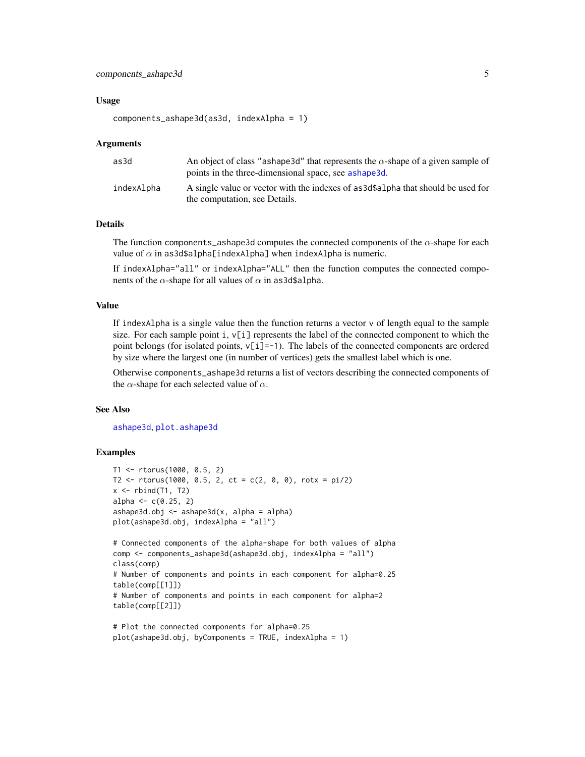#### <span id="page-4-0"></span>Usage

```
components_ashape3d(as3d, indexAlpha = 1)
```
#### Arguments

| as3d       | An object of class "ashape 3d" that represents the $\alpha$ -shape of a given sample of<br>points in the three-dimensional space, see ashape 3d. |
|------------|--------------------------------------------------------------------------------------------------------------------------------------------------|
| indexAlpha | A single value or vector with the indexes of as 3d \$ alpha that should be used for<br>the computation, see Details.                             |

#### Details

The function components\_ashape3d computes the connected components of the  $\alpha$ -shape for each value of  $\alpha$  in as3d\$alpha[indexAlpha] when indexAlpha is numeric.

If indexAlpha="all" or indexAlpha="ALL" then the function computes the connected components of the  $\alpha$ -shape for all values of  $\alpha$  in as3d\$alpha.

#### Value

If indexAlpha is a single value then the function returns a vector  $\nu$  of length equal to the sample size. For each sample point  $i, v[i]$  represents the label of the connected component to which the point belongs (for isolated points,  $v[i]=1$ ). The labels of the connected components are ordered by size where the largest one (in number of vertices) gets the smallest label which is one.

Otherwise components\_ashape3d returns a list of vectors describing the connected components of the  $\alpha$ -shape for each selected value of  $\alpha$ .

## See Also

[ashape3d](#page-1-1), [plot.ashape3d](#page-6-1)

# Examples

```
T1 <- rtorus(1000, 0.5, 2)
T2 \le rtorus(1000, 0.5, 2, ct = c(2, 0, 0), rotx = pi/2)
x \leftarrow \text{rbind}(T1, T2)alpha \leq -c(0.25, 2)ashape3d.obj \leq askape3d(x, alpha = alpha)plot(ashape3d.obj, indexAlpha = "all")
# Connected components of the alpha-shape for both values of alpha
comp <- components_ashape3d(ashape3d.obj, indexAlpha = "all")
class(comp)
# Number of components and points in each component for alpha=0.25
table(comp[[1]])
# Number of components and points in each component for alpha=2
table(comp[[2]])
# Plot the connected components for alpha=0.25
```

```
plot(ashape3d.obj, byComponents = TRUE, indexAlpha = 1)
```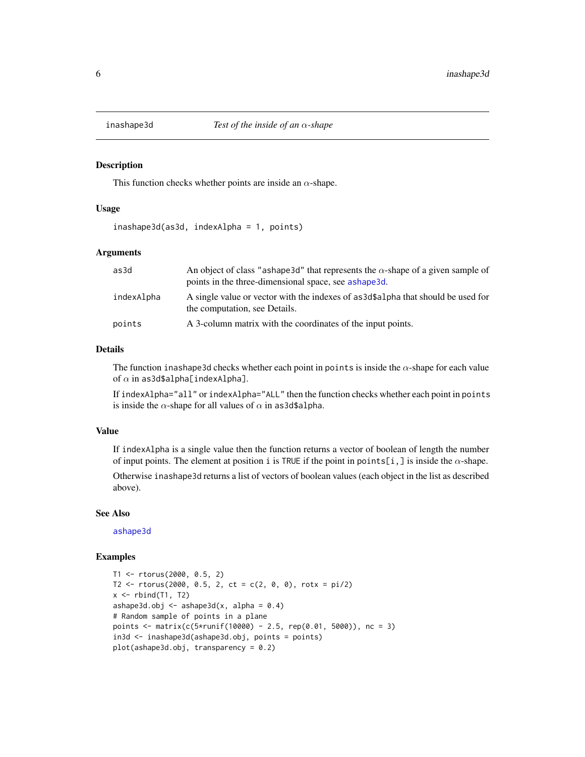<span id="page-5-0"></span>

#### Description

This function checks whether points are inside an  $\alpha$ -shape.

#### Usage

inashape3d(as3d, indexAlpha = 1, points)

# Arguments

| as3d       | An object of class "ashape 3d" that represents the $\alpha$ -shape of a given sample of<br>points in the three-dimensional space, see ashape3d. |
|------------|-------------------------------------------------------------------------------------------------------------------------------------------------|
| indexAlpha | A single value or vector with the indexes of as 3d\$alpha that should be used for<br>the computation, see Details.                              |
| points     | A 3-column matrix with the coordinates of the input points.                                                                                     |

# Details

The function inashape3d checks whether each point in points is inside the  $\alpha$ -shape for each value of  $\alpha$  in as3d\$alpha[indexAlpha].

If indexAlpha="all" or indexAlpha="ALL" then the function checks whether each point in points is inside the  $\alpha$ -shape for all values of  $\alpha$  in as3d\$alpha.

# Value

If indexAlpha is a single value then the function returns a vector of boolean of length the number of input points. The element at position i is TRUE if the point in points[i,] is inside the  $\alpha$ -shape. Otherwise inashape3d returns a list of vectors of boolean values (each object in the list as described above).

#### See Also

[ashape3d](#page-1-1)

#### Examples

```
T1 <- rtorus(2000, 0.5, 2)
T2 \le r torus(2000, 0.5, 2, ct = c(2, 0, 0), rotx = pi/2)
x \leftarrow \text{rbind}(T1, T2)ashape3d.obj \leq ashape3d(x, alpha = 0.4)
# Random sample of points in a plane
points <- matrix(c(5*runif(10000) - 2.5, rep(0.01, 5000)), nc = 3)
in3d <- inashape3d(ashape3d.obj, points = points)
plot(ashape3d.obj, transparency = 0.2)
```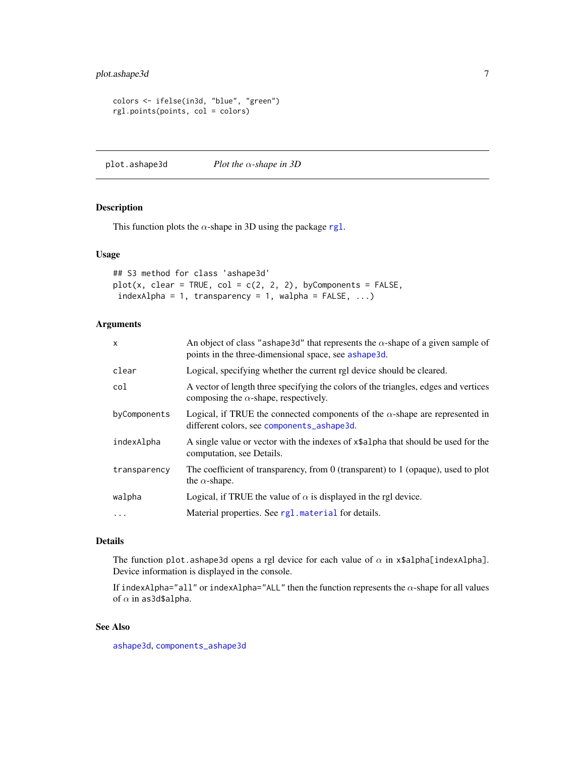# <span id="page-6-0"></span>plot.ashape3d 7

```
colors <- ifelse(in3d, "blue", "green")
rgl.points(points, col = colors)
```
<span id="page-6-1"></span>plot.ashape3d *Plot the* α*-shape in 3D*

# Description

This function plots the  $\alpha$ -shape in 3D using the package [rgl](#page-0-0).

#### Usage

```
## S3 method for class 'ashape3d'
plot(x, clear = TRUE, col = c(2, 2, 2), byComponents = FALSE,indexAlpha = 1, transparency = 1, walpha = FALKE, ...)
```
# Arguments

| $\mathsf{x}$ | An object of class "ashape 3d" that represents the $\alpha$ -shape of a given sample of<br>points in the three-dimensional space, see ashape3d. |
|--------------|-------------------------------------------------------------------------------------------------------------------------------------------------|
| clear        | Logical, specifying whether the current rgl device should be cleared.                                                                           |
| col          | A vector of length three specifying the colors of the triangles, edges and vertices<br>composing the $\alpha$ -shape, respectively.             |
| byComponents | Logical, if TRUE the connected components of the $\alpha$ -shape are represented in<br>different colors, see components_ashape3d.               |
| indexAlpha   | A single value or vector with the indexes of x\$alpha that should be used for the<br>computation, see Details.                                  |
| transparency | The coefficient of transparency, from 0 (transparent) to 1 (opaque), used to plot<br>the $\alpha$ -shape.                                       |
| walpha       | Logical, if TRUE the value of $\alpha$ is displayed in the rgl device.                                                                          |
| $\ddotsc$    | Material properties. See rg1. material for details.                                                                                             |

## Details

The function plot.ashape3d opens a rgl device for each value of  $\alpha$  in x\$alpha[indexAlpha]. Device information is displayed in the console.

If indexAlpha="all" or indexAlpha="ALL" then the function represents the  $\alpha$ -shape for all values of  $\alpha$  in as3d\$alpha.

# See Also

[ashape3d](#page-1-1), [components\\_ashape3d](#page-3-1)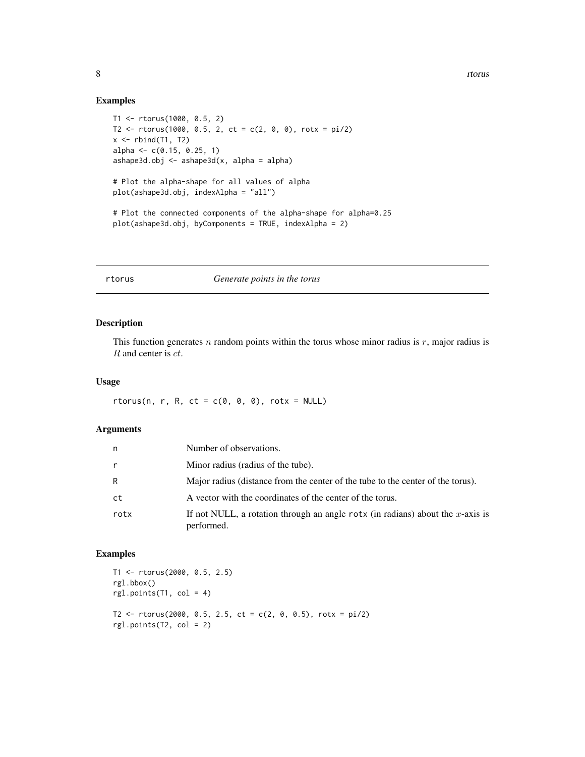# Examples

```
T1 <- rtorus(1000, 0.5, 2)
T2 \le rtorus(1000, 0.5, 2, ct = c(2, 0, 0), rotx = pi/2)
x \leftarrow \text{rbind(T1, T2)}alpha <- c(0.15, 0.25, 1)
ashape3d.obj <- ashape3d(x, alpha = alpha)
# Plot the alpha-shape for all values of alpha
plot(ashape3d.obj, indexAlpha = "all")
# Plot the connected components of the alpha-shape for alpha=0.25
plot(ashape3d.obj, byComponents = TRUE, indexAlpha = 2)
```
rtorus *Generate points in the torus*

#### Description

This function generates  $n$  random points within the torus whose minor radius is  $r$ , major radius is R and center is ct.

#### Usage

rtorus(n, r, R, ct =  $c(0, 0, 0)$ , rotx = NULL)

#### Arguments

| n            | Number of observations.                                                                      |
|--------------|----------------------------------------------------------------------------------------------|
| $\mathsf{r}$ | Minor radius (radius of the tube).                                                           |
| R            | Major radius (distance from the center of the tube to the center of the torus).              |
| ct           | A vector with the coordinates of the center of the torus.                                    |
| rotx         | If not NULL, a rotation through an angle rotx (in radians) about the x-axis is<br>performed. |

# Examples

```
T1 <- rtorus(2000, 0.5, 2.5)
rgl.bbox()
rgl.points(T1, col = 4)T2 \le rtorus(2000, 0.5, 2.5, ct = c(2, 0, 0.5), rotx = pi/2)
rgl.points(T2, col = 2)
```
<span id="page-7-0"></span>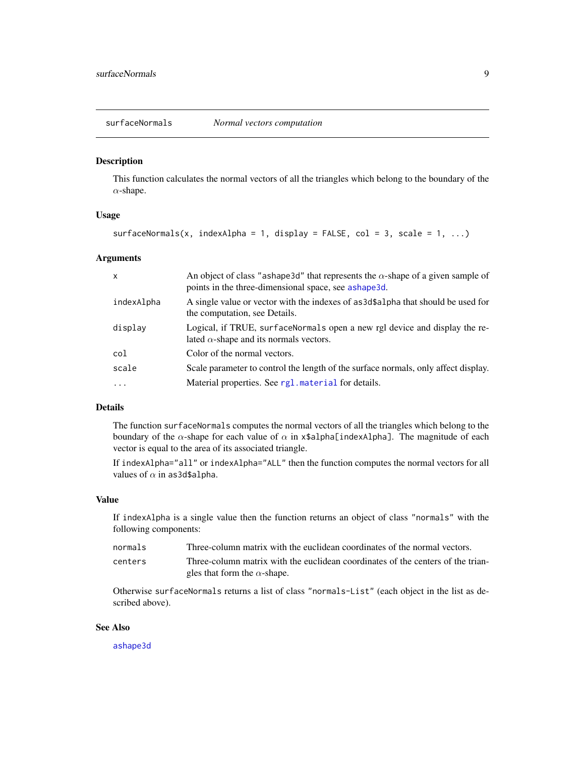<span id="page-8-0"></span>surfaceNormals *Normal vectors computation*

#### Description

This function calculates the normal vectors of all the triangles which belong to the boundary of the  $\alpha$ -shape.

# Usage

```
surfaceNormals(x, indexAlpha = 1, display = FALSE, col = 3, scale = 1, ...)
```
#### Arguments

| $\mathsf{x}$ | An object of class "ashape 3d" that represents the $\alpha$ -shape of a given sample of<br>points in the three-dimensional space, see ashape3d. |
|--------------|-------------------------------------------------------------------------------------------------------------------------------------------------|
| indexAlpha   | A single value or vector with the indexes of as3d\$a1pha that should be used for<br>the computation, see Details.                               |
| display      | Logical, if TRUE, surface Normals open a new rgl device and display the re-<br>lated $\alpha$ -shape and its normals vectors.                   |
| col          | Color of the normal vectors.                                                                                                                    |
| scale        | Scale parameter to control the length of the surface normals, only affect display.                                                              |
| .            | Material properties. See rg1. material for details.                                                                                             |

# Details

The function surfaceNormals computes the normal vectors of all the triangles which belong to the boundary of the  $\alpha$ -shape for each value of  $\alpha$  in x\$alpha[indexAlpha]. The magnitude of each vector is equal to the area of its associated triangle.

If indexAlpha="all" or indexAlpha="ALL" then the function computes the normal vectors for all values of  $\alpha$  in as3d\$alpha.

#### Value

If indexAlpha is a single value then the function returns an object of class "normals" with the following components:

| normals | Three-column matrix with the euclidean coordinates of the normal vectors.       |
|---------|---------------------------------------------------------------------------------|
| centers | Three-column matrix with the euclidean coordinates of the centers of the trian- |
|         | gles that form the $\alpha$ -shape.                                             |

Otherwise surfaceNormals returns a list of class "normals-List" (each object in the list as described above).

#### See Also

[ashape3d](#page-1-1)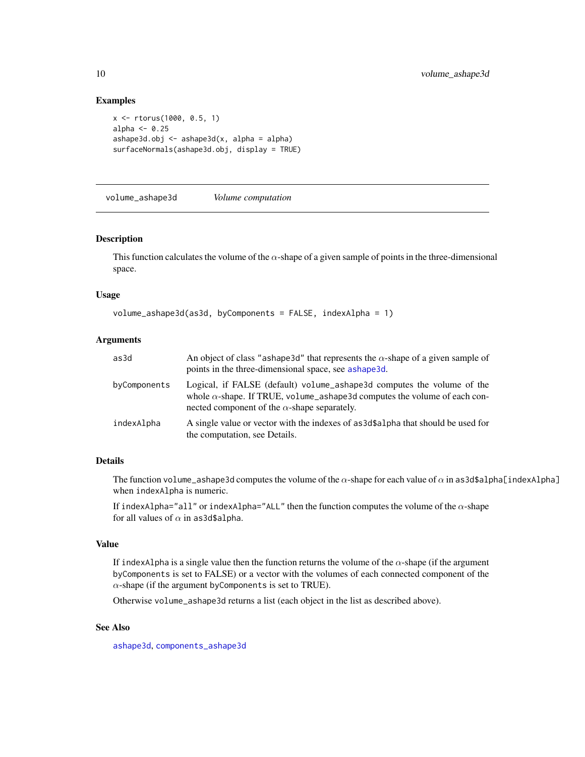#### Examples

```
x <- rtorus(1000, 0.5, 1)
alpha <- 0.25
ashape3d.obj \leftarrow ashape3d(x, alpha = alpha)surfaceNormals(ashape3d.obj, display = TRUE)
```
volume\_ashape3d *Volume computation*

#### Description

This function calculates the volume of the  $\alpha$ -shape of a given sample of points in the three-dimensional space.

#### Usage

```
volume_ashape3d(as3d, byComponents = FALSE, indexAlpha = 1)
```
#### Arguments

| as3d         | An object of class "ashape 3d" that represents the $\alpha$ -shape of a given sample of<br>points in the three-dimensional space, see ashape3d.                                                                   |
|--------------|-------------------------------------------------------------------------------------------------------------------------------------------------------------------------------------------------------------------|
| byComponents | Logical, if FALSE (default) volume_ashape3d computes the volume of the<br>whole $\alpha$ -shape. If TRUE, volume_ashape3d computes the volume of each con-<br>nected component of the $\alpha$ -shape separately. |
| indexAlpha   | A single value or vector with the indexes of as3d\$a1pha that should be used for<br>the computation, see Details.                                                                                                 |

#### Details

The function volume\_ashape3d computes the volume of the  $\alpha$ -shape for each value of  $\alpha$  in as3d\$alpha[indexAlpha] when indexAlpha is numeric.

If indexAlpha="all" or indexAlpha="ALL" then the function computes the volume of the  $\alpha$ -shape for all values of  $\alpha$  in as3d\$alpha.

#### Value

If indexAlpha is a single value then the function returns the volume of the  $\alpha$ -shape (if the argument byComponents is set to FALSE) or a vector with the volumes of each connected component of the  $\alpha$ -shape (if the argument by Components is set to TRUE).

Otherwise volume\_ashape3d returns a list (each object in the list as described above).

#### See Also

[ashape3d](#page-1-1), [components\\_ashape3d](#page-3-1)

<span id="page-9-0"></span>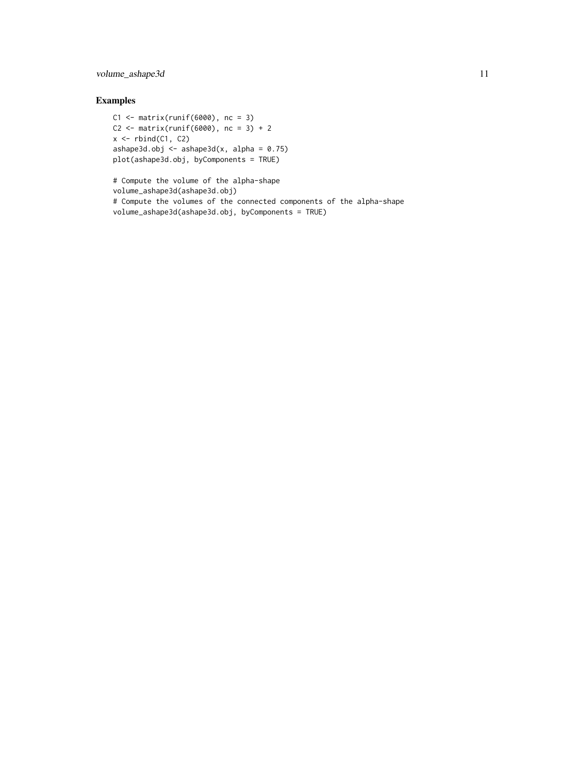# volume\_ashape3d 11

# Examples

```
C1 \leq - matrix(runif(6000), nc = 3)
C2 \le - matrix(runif(6000), nc = 3) + 2
x \leftarrow \text{rbind}(C1, C2)ashape3d.obj \leq ashape3d(x, alpha = 0.75)
plot(ashape3d.obj, byComponents = TRUE)
```
# Compute the volume of the alpha-shape volume\_ashape3d(ashape3d.obj) # Compute the volumes of the connected components of the alpha-shape volume\_ashape3d(ashape3d.obj, byComponents = TRUE)